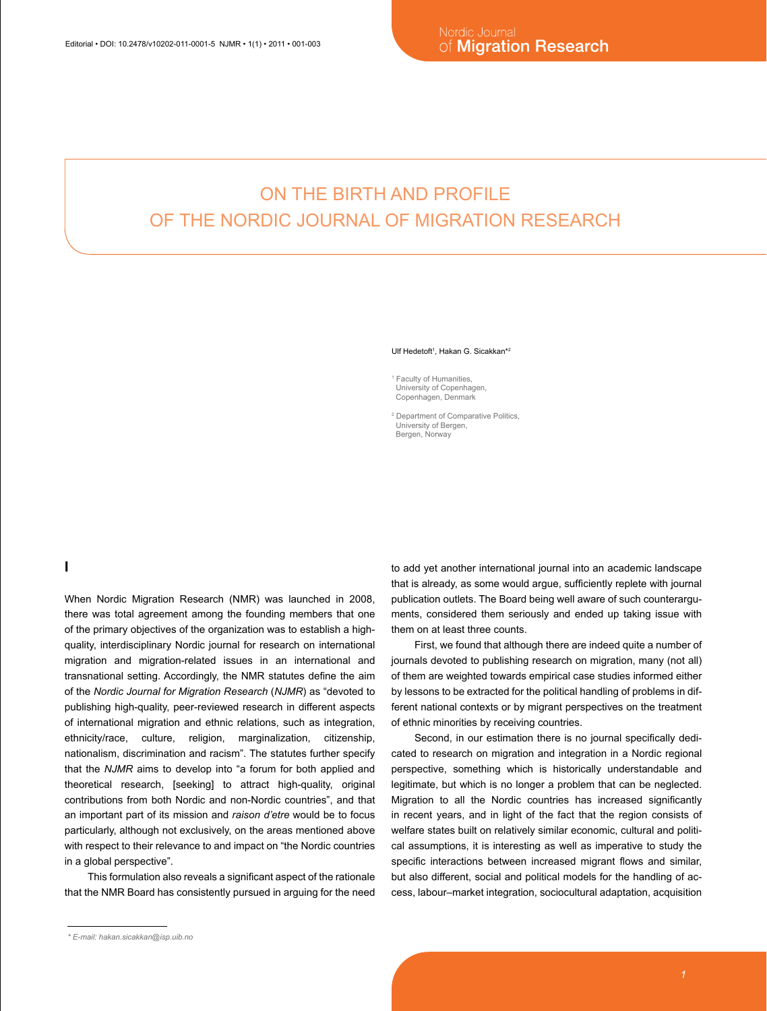## ON THE BIRTH AND PROFILE OF THE NORDIC JOURNAL OF MIGRATION RESEARCH

## Ulf Hedetoft<sup>1</sup>, Hakan G. Sicakkan<sup>\*2</sup>

1 Faculty of Humanities, University of Copenhagen, Copenhagen, Denmark

2 Department of Comparative Politics, University of Bergen, Bergen, Norway

When Nordic Migration Research (NMR) was launched in 2008, there was total agreement among the founding members that one of the primary objectives of the organization was to establish a highquality, interdisciplinary Nordic journal for research on international migration and migration-related issues in an international and transnational setting. Accordingly, the NMR statutes define the aim of the *Nordic Journal for Migration Research* (*NJMR*) as "devoted to publishing high-quality, peer-reviewed research in different aspects of international migration and ethnic relations, such as integration, ethnicity/race, culture, religion, marginalization, citizenship, nationalism, discrimination and racism". The statutes further specify that the *NJMR* aims to develop into "a forum for both applied and theoretical research, [seeking] to attract high-quality, original contributions from both Nordic and non-Nordic countries", and that an important part of its mission and *raison d'etre* would be to focus particularly, although not exclusively, on the areas mentioned above with respect to their relevance to and impact on "the Nordic countries in a global perspective".

This formulation also reveals a significant aspect of the rationale that the NMR Board has consistently pursued in arguing for the need

**I**

to add yet another international journal into an academic landscape that is already, as some would argue, sufficiently replete with journal publication outlets. The Board being well aware of such counterarguments, considered them seriously and ended up taking issue with them on at least three counts.

First, we found that although there are indeed quite a number of journals devoted to publishing research on migration, many (not all) of them are weighted towards empirical case studies informed either by lessons to be extracted for the political handling of problems in different national contexts or by migrant perspectives on the treatment of ethnic minorities by receiving countries.

Second, in our estimation there is no journal specifically dedicated to research on migration and integration in a Nordic regional perspective, something which is historically understandable and legitimate, but which is no longer a problem that can be neglected. Migration to all the Nordic countries has increased significantly in recent years, and in light of the fact that the region consists of welfare states built on relatively similar economic, cultural and political assumptions, it is interesting as well as imperative to study the specific interactions between increased migrant flows and similar, but also different, social and political models for the handling of access, labour–market integration, sociocultural adaptation, acquisition

*<sup>\*</sup> E-mail: hakan.sicakkan@isp.uib.no*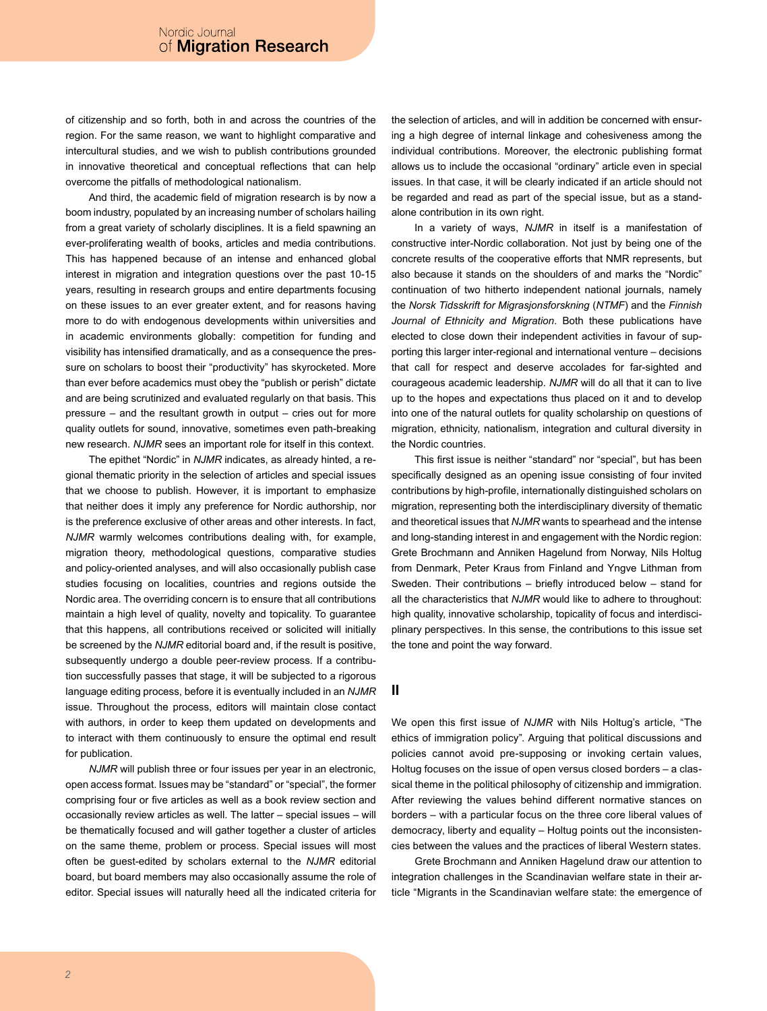of citizenship and so forth, both in and across the countries of the region. For the same reason, we want to highlight comparative and intercultural studies, and we wish to publish contributions grounded in innovative theoretical and conceptual reflections that can help overcome the pitfalls of methodological nationalism.

And third, the academic field of migration research is by now a boom industry, populated by an increasing number of scholars hailing from a great variety of scholarly disciplines. It is a field spawning an ever-proliferating wealth of books, articles and media contributions. This has happened because of an intense and enhanced global interest in migration and integration questions over the past 10-15 years, resulting in research groups and entire departments focusing on these issues to an ever greater extent, and for reasons having more to do with endogenous developments within universities and in academic environments globally: competition for funding and visibility has intensified dramatically, and as a consequence the pressure on scholars to boost their "productivity" has skyrocketed. More than ever before academics must obey the "publish or perish" dictate and are being scrutinized and evaluated regularly on that basis. This pressure – and the resultant growth in output – cries out for more quality outlets for sound, innovative, sometimes even path-breaking new research. *NJMR* sees an important role for itself in this context.

The epithet "Nordic" in *NJMR* indicates, as already hinted, a regional thematic priority in the selection of articles and special issues that we choose to publish. However, it is important to emphasize that neither does it imply any preference for Nordic authorship, nor is the preference exclusive of other areas and other interests. In fact, *NJMR* warmly welcomes contributions dealing with, for example, migration theory, methodological questions, comparative studies and policy-oriented analyses, and will also occasionally publish case studies focusing on localities, countries and regions outside the Nordic area. The overriding concern is to ensure that all contributions maintain a high level of quality, novelty and topicality. To guarantee that this happens, all contributions received or solicited will initially be screened by the *NJMR* editorial board and, if the result is positive, subsequently undergo a double peer-review process. If a contribution successfully passes that stage, it will be subjected to a rigorous language editing process, before it is eventually included in an *NJMR* issue. Throughout the process, editors will maintain close contact with authors, in order to keep them updated on developments and to interact with them continuously to ensure the optimal end result for publication.

*NJMR* will publish three or four issues per year in an electronic, open access format. Issues may be "standard" or "special", the former comprising four or five articles as well as a book review section and occasionally review articles as well. The latter – special issues – will be thematically focused and will gather together a cluster of articles on the same theme, problem or process. Special issues will most often be guest-edited by scholars external to the *NJMR* editorial board, but board members may also occasionally assume the role of editor. Special issues will naturally heed all the indicated criteria for

the selection of articles, and will in addition be concerned with ensuring a high degree of internal linkage and cohesiveness among the individual contributions. Moreover, the electronic publishing format allows us to include the occasional "ordinary" article even in special issues. In that case, it will be clearly indicated if an article should not be regarded and read as part of the special issue, but as a standalone contribution in its own right.

In a variety of ways, *NJMR* in itself is a manifestation of constructive inter-Nordic collaboration. Not just by being one of the concrete results of the cooperative efforts that NMR represents, but also because it stands on the shoulders of and marks the "Nordic" continuation of two hitherto independent national journals, namely the *Norsk Tidsskrift for Migrasjonsforskning* (*NTMF*) and the *Finnish Journal of Ethnicity and Migration*. Both these publications have elected to close down their independent activities in favour of supporting this larger inter-regional and international venture – decisions that call for respect and deserve accolades for far-sighted and courageous academic leadership. *NJMR* will do all that it can to live up to the hopes and expectations thus placed on it and to develop into one of the natural outlets for quality scholarship on questions of migration, ethnicity, nationalism, integration and cultural diversity in the Nordic countries.

This first issue is neither "standard" nor "special", but has been specifically designed as an opening issue consisting of four invited contributions by high-profile, internationally distinguished scholars on migration, representing both the interdisciplinary diversity of thematic and theoretical issues that *NJMR* wants to spearhead and the intense and long-standing interest in and engagement with the Nordic region: Grete Brochmann and Anniken Hagelund from Norway, Nils Holtug from Denmark, Peter Kraus from Finland and Yngve Lithman from Sweden. Their contributions – briefly introduced below – stand for all the characteristics that *NJMR* would like to adhere to throughout: high quality, innovative scholarship, topicality of focus and interdisciplinary perspectives. In this sense, the contributions to this issue set the tone and point the way forward.

## **II**

We open this first issue of *NJMR* with Nils Holtug's article, "The ethics of immigration policy". Arguing that political discussions and policies cannot avoid pre-supposing or invoking certain values, Holtug focuses on the issue of open versus closed borders – a classical theme in the political philosophy of citizenship and immigration. After reviewing the values behind different normative stances on borders – with a particular focus on the three core liberal values of democracy, liberty and equality – Holtug points out the inconsistencies between the values and the practices of liberal Western states.

Grete Brochmann and Anniken Hagelund draw our attention to integration challenges in the Scandinavian welfare state in their article "Migrants in the Scandinavian welfare state: the emergence of